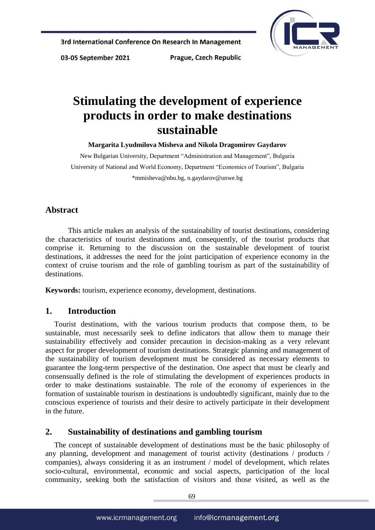

03-05 September 2021

Prague, Czech Republic

# **Stimulating the development of experience products in order to make destinations sustainable**

**Margarita Lyudmilova Misheva and Nikola Dragomirov Gaydarov**

New Bulgarian University, Department "Administration and Management", Bulgaria University of National and World Economy, Department "Economics of Tourism", Bulgaria [\\*mmisheva@nbu.bg,](mailto:*mmisheva@nbu.bg) n.gaydarov@unwe.bg

## **Abstract**

This article makes an analysis of the sustainability of tourist destinations, considering the characteristics of tourist destinations and, consequently, of the tourist products that comprise it. Returning to the discussion on the sustainable development of tourist destinations, it addresses the need for the joint participation of experience economy in the context of cruise tourism and the role of gambling tourism as part of the sustainability of destinations.

**Keywords:** tourism, experience economy, development, destinations.

## **1. Introduction**

Tourist destinations, with the various tourism products that compose them, to be sustainable, must necessarily seek to define indicators that allow them to manage their sustainability effectively and consider precaution in decision-making as a very relevant aspect for proper development of tourism destinations. Strategic planning and management of the sustainability of tourism development must be considered as necessary elements to guarantee the long-term perspective of the destination. One aspect that must be clearly and consensually defined is the role of stimulating the development of experiences products in order to make destinations sustainable. The role of the economy of experiences in the formation of sustainable tourism in destinations is undoubtedly significant, mainly due to the conscious experience of tourists and their desire to actively participate in their development in the future.

## **2. Sustainability of destinations and gambling tourism**

The concept of sustainable development of destinations must be the basic philosophy of any planning, development and management of tourist activity (destinations / products / companies), always considering it as an instrument / model of development, which relates socio-cultural, environmental, economic and social aspects, participation of the local community, seeking both the satisfaction of visitors and those visited, as well as the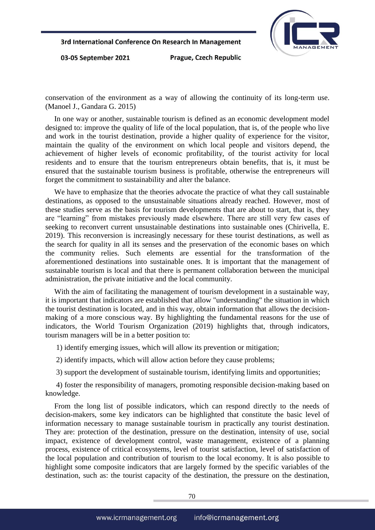

03-05 September 2021

Prague, Czech Republic

conservation of the environment as a way of allowing the continuity of its long-term use. (Manoel J., Gandara G. 2015)

In one way or another, sustainable tourism is defined as an economic development model designed to: improve the quality of life of the local population, that is, of the people who live and work in the tourist destination, provide a higher quality of experience for the visitor, maintain the quality of the environment on which local people and visitors depend, the achievement of higher levels of economic profitability, of the tourist activity for local residents and to ensure that the tourism entrepreneurs obtain benefits, that is, it must be ensured that the sustainable tourism business is profitable, otherwise the entrepreneurs will forget the commitment to sustainability and alter the balance.

We have to emphasize that the theories advocate the practice of what they call sustainable destinations, as opposed to the unsustainable situations already reached. However, most of these studies serve as the basis for tourism developments that are about to start, that is, they are "learning" from mistakes previously made elsewhere. There are still very few cases of seeking to reconvert current unsustainable destinations into sustainable ones (Chirivella, E. 2019). This reconversion is increasingly necessary for these tourist destinations, as well as the search for quality in all its senses and the preservation of the economic bases on which the community relies. Such elements are essential for the transformation of the aforementioned destinations into sustainable ones. It is important that the management of sustainable tourism is local and that there is permanent collaboration between the municipal administration, the private initiative and the local community.

With the aim of facilitating the management of tourism development in a sustainable way, it is important that indicators are established that allow "understanding" the situation in which the tourist destination is located, and in this way, obtain information that allows the decisionmaking of a more conscious way. By highlighting the fundamental reasons for the use of indicators, the World Tourism Organization (2019) highlights that, through indicators, tourism managers will be in a better position to:

1) identify emerging issues, which will allow its prevention or mitigation;

2) identify impacts, which will allow action before they cause problems;

3) support the development of sustainable tourism, identifying limits and opportunities;

4) foster the responsibility of managers, promoting responsible decision-making based on knowledge.

From the long list of possible indicators, which can respond directly to the needs of decision-makers, some key indicators can be highlighted that constitute the basic level of information necessary to manage sustainable tourism in practically any tourist destination. They are: protection of the destination, pressure on the destination, intensity of use, social impact, existence of development control, waste management, existence of a planning process, existence of critical ecosystems, level of tourist satisfaction, level of satisfaction of the local population and contribution of tourism to the local economy. It is also possible to highlight some composite indicators that are largely formed by the specific variables of the destination, such as: the tourist capacity of the destination, the pressure on the destination,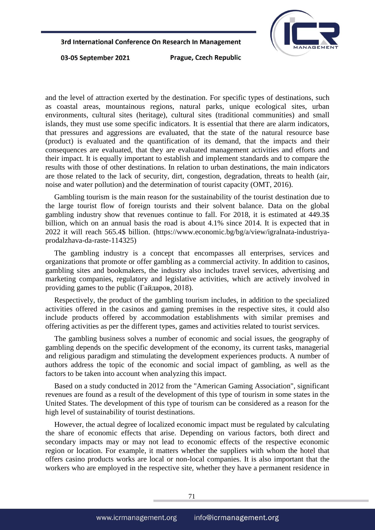

03-05 September 2021

Prague, Czech Republic

and the level of attraction exerted by the destination. For specific types of destinations, such as coastal areas, mountainous regions, natural parks, unique ecological sites, urban environments, cultural sites (heritage), cultural sites (traditional communities) and small islands, they must use some specific indicators. It is essential that there are alarm indicators, that pressures and aggressions are evaluated, that the state of the natural resource base (product) is evaluated and the quantification of its demand, that the impacts and their consequences are evaluated, that they are evaluated management activities and efforts and their impact. It is equally important to establish and implement standards and to compare the results with those of other destinations. In relation to urban destinations, the main indicators are those related to the lack of security, dirt, congestion, degradation, threats to health (air, noise and water pollution) and the determination of tourist capacity (OMT, 2016).

Gambling tourism is the main reason for the sustainability of the tourist destination due to the large tourist flow of foreign tourists and their solvent balance. Data on the global gambling industry show that revenues continue to fall. For 2018, it is estimated at 449.3\$ billion, which on an annual basis the road is about 4.1% since 2014. It is expected that in 2022 it will reach 565.4\$ billion. (https://www.economic.bg/bg/a/view/igralnata-industriyaprodalzhava-da-raste-114325)

The gambling industry is a concept that encompasses all enterprises, services and organizations that promote or offer gambling as a commercial activity. In addition to casinos, gambling sites and bookmakers, the industry also includes travel services, advertising and marketing companies, regulatory and legislative activities, which are actively involved in providing games to the public (Гайдаров, 2018).

Respectively, the product of the gambling tourism includes, in addition to the specialized activities offered in the casinos and gaming premises in the respective sites, it could also include products offered by accommodation establishments with similar premises and offering activities as per the different types, games and activities related to tourist services.

The gambling business solves a number of economic and social issues, the geography of gambling depends on the specific development of the economy, its current tasks, managerial and religious paradigm and stimulating the development experiences products. A number of authors address the topic of the economic and social impact of gambling, as well as the factors to be taken into account when analyzing this impact.

Based on a study conducted in 2012 from the "American Gaming Association", significant revenues are found as a result of the development of this type of tourism in some states in the United States. The development of this type of tourism can be considered as a reason for the high level of sustainability of tourist destinations.

However, the actual degree of localized economic impact must be regulated by calculating the share of economic effects that arise. Depending on various factors, both direct and secondary impacts may or may not lead to economic effects of the respective economic region or location. For example, it matters whether the suppliers with whom the hotel that offers casino products works are local or non-local companies. It is also important that the workers who are employed in the respective site, whether they have a permanent residence in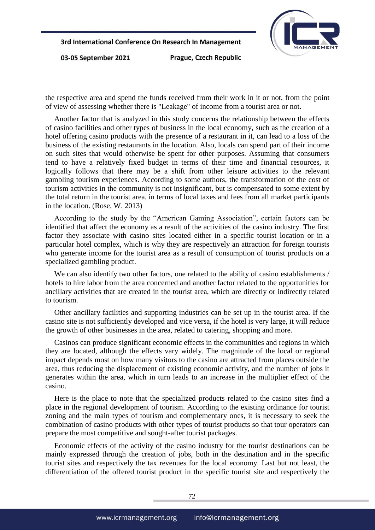

03-05 September 2021

Prague, Czech Republic

the respective area and spend the funds received from their work in it or not, from the point of view of assessing whether there is "Leakage" of income from a tourist area or not.

Another factor that is analyzed in this study concerns the relationship between the effects of casino facilities and other types of business in the local economy, such as the creation of a hotel offering casino products with the presence of a restaurant in it, can lead to a loss of the business of the existing restaurants in the location. Also, locals can spend part of their income on such sites that would otherwise be spent for other purposes. Assuming that consumers tend to have a relatively fixed budget in terms of their time and financial resources, it logically follows that there may be a shift from other leisure activities to the relevant gambling tourism experiences. According to some authors, the transformation of the cost of tourism activities in the community is not insignificant, but is compensated to some extent by the total return in the tourist area, in terms of local taxes and fees from all market participants in the location. (Rose, W. 2013)

According to the study by the "American Gaming Association", certain factors can be identified that affect the economy as a result of the activities of the casino industry. The first factor they associate with casino sites located either in a specific tourist location or in a particular hotel complex, which is why they are respectively an attraction for foreign tourists who generate income for the tourist area as a result of consumption of tourist products on a specialized gambling product.

We can also identify two other factors, one related to the ability of casino establishments / hotels to hire labor from the area concerned and another factor related to the opportunities for ancillary activities that are created in the tourist area, which are directly or indirectly related to tourism.

Other ancillary facilities and supporting industries can be set up in the tourist area. If the casino site is not sufficiently developed and vice versa, if the hotel is very large, it will reduce the growth of other businesses in the area, related to catering, shopping and more.

Casinos can produce significant economic effects in the communities and regions in which they are located, although the effects vary widely. The magnitude of the local or regional impact depends most on how many visitors to the casino are attracted from places outside the area, thus reducing the displacement of existing economic activity, and the number of jobs it generates within the area, which in turn leads to an increase in the multiplier effect of the casino.

Here is the place to note that the specialized products related to the casino sites find a place in the regional development of tourism. According to the existing ordinance for tourist zoning and the main types of tourism and complementary ones, it is necessary to seek the combination of casino products with other types of tourist products so that tour operators can prepare the most competitive and sought-after tourist packages.

Economic effects of the activity of the casino industry for the tourist destinations can be mainly expressed through the creation of jobs, both in the destination and in the specific tourist sites and respectively the tax revenues for the local economy. Last but not least, the differentiation of the offered tourist product in the specific tourist site and respectively the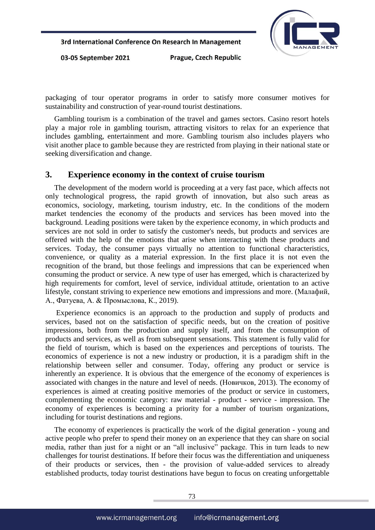

03-05 September 2021

Prague, Czech Republic

packaging of tour operator programs in order to satisfy more consumer motives for sustainability and construction of year-round tourist destinations.

Gambling tourism is a combination of the travel and games sectors. Casino resort hotels play a major role in gambling tourism, attracting visitors to relax for an experience that includes gambling, entertainment and more. Gambling tourism also includes players who visit another place to gamble because they are restricted from playing in their national state or seeking diversification and change.

#### **3. Experience economy in the context of cruise tourism**

The development of the modern world is proceeding at a very fast pace, which affects not only technological progress, the rapid growth of innovation, but also such areas as economics, sociology, marketing, tourism industry, etc. In the conditions of the modern market tendencies the economy of the products and services has been moved into the background. Leading positions were taken by the experience economy, in which products and services are not sold in order to satisfy the customer's needs, but products and services are offered with the help of the emotions that arise when interacting with these products and services. Today, the consumer pays virtually no attention to functional characteristics, convenience, or quality as a material expression. In the first place it is not even the recognition of the brand, but those feelings and impressions that can be experienced when consuming the product or service. A new type of user has emerged, which is characterized by high requirements for comfort, level of service, individual attitude, orientation to an active lifestyle, constant striving to experience new emotions and impressions and more. (Малафий, А., Фатуева, А. & Промыслова, К., 2019).

Experience economics is an approach to the production and supply of products and services, based not on the satisfaction of specific needs, but on the creation of positive impressions, both from the production and supply itself, and from the consumption of products and services, as well as from subsequent sensations. This statement is fully valid for the field of tourism, which is based on the experiences and perceptions of tourists. The economics of experience is not a new industry or production, it is a paradigm shift in the relationship between seller and consumer. Today, offering any product or service is inherently an experience. It is obvious that the emergence of the economy of experiences is associated with changes in the nature and level of needs. (Новичков, 2013). The economy of experiences is aimed at creating positive memories of the product or service in customers, complementing the economic category: raw material - product - service - impression. The economy of experiences is becoming a priority for a number of tourism organizations, including for tourist destinations and regions.

The economy of experiences is practically the work of the digital generation - young and active people who prefer to spend their money on an experience that they can share on social media, rather than just for a night or an "all inclusive" package. This in turn leads to new challenges for tourist destinations. If before their focus was the differentiation and uniqueness of their products or services, then - the provision of value-added services to already established products, today tourist destinations have begun to focus on creating unforgettable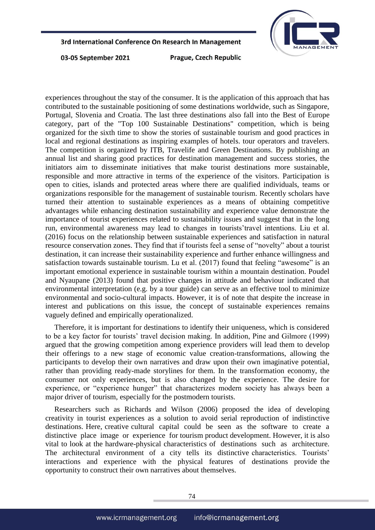

03-05 September 2021

Prague, Czech Republic

experiences throughout the stay of the consumer. It is the application of this approach that has contributed to the sustainable positioning of some destinations worldwide, such as Singapore, Portugal, Slovenia and Croatia. The last three destinations also fall into the Best of Europe category, part of the "Top 100 Sustainable Destinations" competition, which is being organized for the sixth time to show the stories of sustainable tourism and good practices in local and regional destinations as inspiring examples of hotels. tour operators and travelers. The competition is organized by ITB, Travelife and Green Destinations. By publishing an annual list and sharing good practices for destination management and success stories, the initiators aim to disseminate initiatives that make tourist destinations more sustainable, responsible and more attractive in terms of the experience of the visitors. Participation is open to cities, islands and protected areas where there are qualified individuals, teams or organizations responsible for the management of sustainable tourism. Recently scholars have turned their attention to sustainable experiences as a means of obtaining competitive advantages while enhancing destination sustainability and experience value demonstrate the importance of tourist experiences related to sustainability issues and suggest that in the long run, environmental awareness may lead to changes in tourists'travel intentions. Liu et al. (2016) focus on the relationship between sustainable experiences and satisfaction in natural resource conservation zones. They find that if tourists feel a sense of "novelty" about a tourist destination, it can increase their sustainability experience and further enhance willingness and satisfaction towards sustainable tourism. Lu et al. (2017) found that feeling "awesome" is an important emotional experience in sustainable tourism within a mountain destination. Poudel and Nyaupane (2013) found that positive changes in attitude and behaviour indicated that environmental interpretation (e.g. by a tour guide) can serve as an effective tool to minimize environmental and socio-cultural impacts. However, it is of note that despite the increase in interest and publications on this issue, the concept of sustainable experiences remains vaguely defined and empirically operationalized.

Therefore, it is important for destinations to identify their uniqueness, which is considered to be a key factor for tourists' travel decision making. In addition, Pine and Gilmore (1999) argued that the growing competition among experience providers will lead them to develop their offerings to a new stage of economic value creation-transformations, allowing the participants to develop their own narratives and draw upon their own imaginative potential, rather than providing ready-made storylines for them. In the transformation economy, the consumer not only experiences, but is also changed by the experience. The desire for experience, or "experience hunger" that characterizes modern society has always been a major driver of tourism, especially for the postmodern tourists.

Researchers such as Richards and Wilson (2006) proposed the idea of developing creativity in tourist experiences as a solution to avoid serial reproduction of indistinctive destinations. Here, creative cultural capital could be seen as the software to create a distinctive place image or experience for tourism product development. However, it is also vital to look at the hardware-physical characteristics of destinations such as architecture. The architectural environment of a city tells its distinctive characteristics. Tourists' interactions and experience with the physical features of destinations provide the opportunity to construct their own narratives about themselves.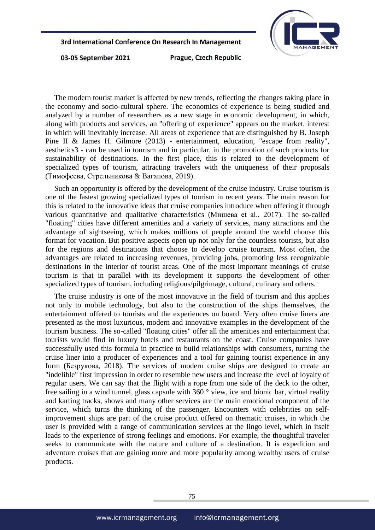

03-05 September 2021

Prague, Czech Republic

The modern tourist market is affected by new trends, reflecting the changes taking place in the economy and socio-cultural sphere. The economics of experience is being studied and analyzed by a number of researchers as a new stage in economic development, in which, along with products and services, an "offering of experience" appears on the market, interest in which will inevitably increase. All areas of experience that are distinguished by B. Joseph Pine II & James H. Gilmore (2013) - entertainment, education, "escape from reality", aesthetics3 - can be used in tourism and in particular, in the promotion of such products for sustainability of destinations. In the first place, this is related to the development of specialized types of tourism, attracting travelers with the uniqueness of their proposals (Тимофеева, Стрельникова & Вагапова, 2019).

Such an opportunity is offered by the development of the cruise industry. Cruise tourism is one of the fastest growing specialized types of tourism in recent years. The main reason for this is related to the innovative ideas that cruise companies introduce when offering it through various quantitative and qualitative characteristics (Мишева et al., 2017). The so-called "floating" cities have different amenities and a variety of services, many attractions and the advantage of sightseeing, which makes millions of people around the world choose this format for vacation. But positive aspects open up not only for the countless tourists, but also for the regions and destinations that choose to develop cruise tourism. Most often, the advantages are related to increasing revenues, providing jobs, promoting less recognizable destinations in the interior of tourist areas. One of the most important meanings of cruise tourism is that in parallel with its development it supports the development of other specialized types of tourism, including religious/pilgrimage, cultural, culinary and others.

The cruise industry is one of the most innovative in the field of tourism and this applies not only to mobile technology, but also to the construction of the ships themselves, the entertainment offered to tourists and the experiences on board. Very often cruise liners are presented as the most luxurious, modern and innovative examples in the development of the tourism business. The so-called "floating cities" offer all the amenities and entertainment that tourists would find in luxury hotels and restaurants on the coast. Cruise companies have successfully used this formula in practice to build relationships with consumers, turning the cruise liner into a producer of experiences and a tool for gaining tourist experience in any form (Безрукова, 2018). The services of modern cruise ships are designed to create an "indelible" first impression in order to resemble new users and increase the level of loyalty of regular users. We can say that the flight with a rope from one side of the deck to the other, free sailing in a wind tunnel, glass capsule with 360 ° view, ice and bionic bar, virtual reality and karting tracks, shows and many other services are the main emotional component of the service, which turns the thinking of the passenger. Encounters with celebrities on selfimprovement ships are part of the cruise product offered on thematic cruises, in which the user is provided with a range of communication services at the lingo level, which in itself leads to the experience of strong feelings and emotions. For example, the thoughtful traveler seeks to communicate with the nature and culture of a destination. It is expedition and adventure cruises that are gaining more and more popularity among wealthy users of cruise products.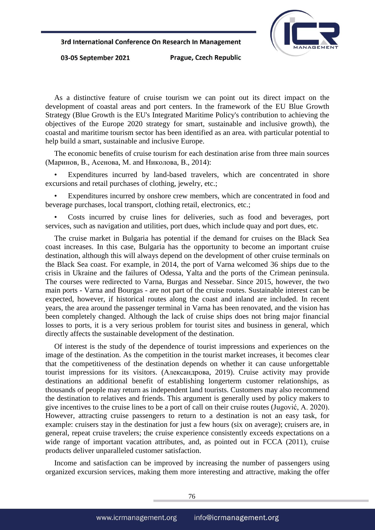

03-05 September 2021

Prague, Czech Republic

As a distinctive feature of cruise tourism we can point out its direct impact on the development of coastal areas and port centers. In the framework of the EU Blue Growth Strategy (Blue Growth is the EU's Integrated Maritime Policy's contribution to achieving the objectives of the Europe 2020 strategy for smart, sustainable and inclusive growth), the coastal and maritime tourism sector has been identified as an area. with particular potential to help build a smart, sustainable and inclusive Europe.

The economic benefits of cruise tourism for each destination arise from three main sources (Маринов, В., Асенова, М. and Николова, В., 2014):

Expenditures incurred by land-based travelers, which are concentrated in shore excursions and retail purchases of clothing, jewelry, etc.;

Expenditures incurred by onshore crew members, which are concentrated in food and beverage purchases, local transport, clothing retail, electronics, etc.;

• Costs incurred by cruise lines for deliveries, such as food and beverages, port services, such as navigation and utilities, port dues, which include quay and port dues, etc.

The cruise market in Bulgaria has potential if the demand for cruises on the Black Sea coast increases. In this case, Bulgaria has the opportunity to become an important cruise destination, although this will always depend on the development of other cruise terminals on the Black Sea coast. For example, in 2014, the port of Varna welcomed 36 ships due to the crisis in Ukraine and the failures of Odessa, Yalta and the ports of the Crimean peninsula. The courses were redirected to Varna, Burgas and Nessebar. Since 2015, however, the two main ports - Varna and Bourgas - are not part of the cruise routes. Sustainable interest can be expected, however, if historical routes along the coast and inland are included. In recent years, the area around the passenger terminal in Varna has been renovated, and the vision has been completely changed. Although the lack of cruise ships does not bring major financial losses to ports, it is a very serious problem for tourist sites and business in general, which directly affects the sustainable development of the destination.

Of interest is the study of the dependence of tourist impressions and experiences on the image of the destination. As the competition in the tourist market increases, it becomes clear that the competitiveness of the destination depends on whether it can cause unforgettable tourist impressions for its visitors. (Александрова, 2019). Cruise activity may provide destinations an additional benefit of establishing longerterm customer relationships, as thousands of people may return as independent land tourists. Customers may also recommend the destination to relatives and friends. This argument is generally used by policy makers to give incentives to the cruise lines to be a port of call on their cruise routes (Jugović, A. 2020). However, attracting cruise passengers to return to a destination is not an easy task, for example: cruisers stay in the destination for just a few hours (six on average); cruisers are, in general, repeat cruise travelers; the cruise experience consistently exceeds expectations on a wide range of important vacation attributes, and, as pointed out in FCCA (2011), cruise products deliver unparalleled customer satisfaction.

Income and satisfaction can be improved by increasing the number of passengers using organized excursion services, making them more interesting and attractive, making the offer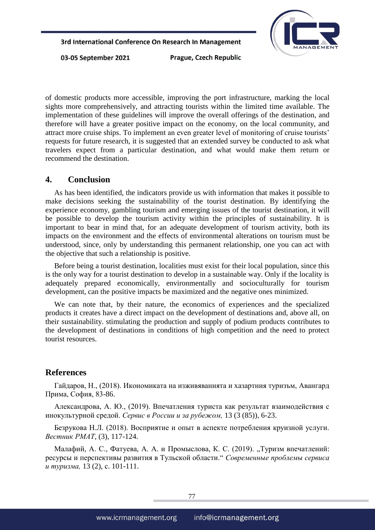

03-05 September 2021

Prague, Czech Republic

of domestic products more accessible, improving the port infrastructure, marking the local sights more comprehensively, and attracting tourists within the limited time available. The implementation of these guidelines will improve the overall offerings of the destination, and therefore will have a greater positive impact on the economy, on the local community, and attract more cruise ships. To implement an even greater level of monitoring of cruise tourists' requests for future research, it is suggested that an extended survey be conducted to ask what travelers expect from a particular destination, and what would make them return or recommend the destination.

#### **4. Conclusion**

As has been identified, the indicators provide us with information that makes it possible to make decisions seeking the sustainability of the tourist destination. By identifying the experience economy, gambling tourism and emerging issues of the tourist destination, it will be possible to develop the tourism activity within the principles of sustainability. It is important to bear in mind that, for an adequate development of tourism activity, both its impacts on the environment and the effects of environmental alterations on tourism must be understood, since, only by understanding this permanent relationship, one you can act with the objective that such a relationship is positive.

Before being a tourist destination, localities must exist for their local population, since this is the only way for a tourist destination to develop in a sustainable way. Only if the locality is adequately prepared economically, environmentally and socioculturally for tourism development, can the positive impacts be maximized and the negative ones minimized.

We can note that, by their nature, the economics of experiences and the specialized products it creates have a direct impact on the development of destinations and, above all, on their sustainability. stimulating the production and supply of podium products contributes to the development of destinations in conditions of high competition and the need to protect tourist resources.

#### **References**

Гайдаров, Н., (2018). Икономиката на изживяванията и хазартния туризъм, Авангард Прима, София, 83-86.

Александрова, А. Ю., (2019). Впечатления туриста как результат взаимодействия с инокультурной средой. *Сервис в России и за рубежом,* 13 (3 (85)), 6-23.

Безрукова Н.Л. (2018). Восприятие и опыт в аспекте потребления круизной услуги. *Вестник РМАТ*, (3), 117-124.

Малафий, А. С., Фатуева, А. А. и Промыслова, К. С. (2019). "Туризм впечатлений: ресурсы и перспективы развития в Тульской области." *Современные проблемы сервиса и туризма,* 13 (2), с. 101-111.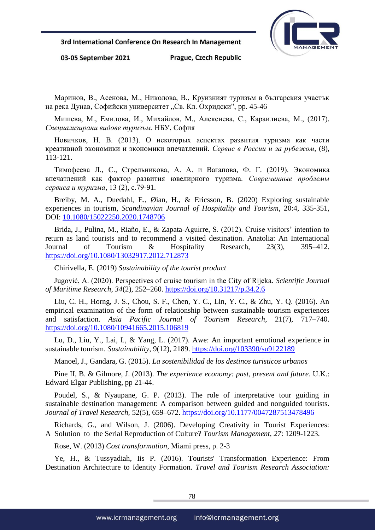

03-05 September 2021

Prague, Czech Republic

Маринов, В., Асенова, М., Николова, В., Круизният туризъм в българския участък на река Дунав, Софийски университет "Св. Кл. Охридски", pp. 45-46

Мишева, М., Емилова, И., Михайлов, М., Алексиева, С., Караилиева, М., (2017). *Специализирани видове туризъм*. НБУ, София

Новичков, Н. В. (2013). О некоторых аспектах развития туризма как части креативной экономики и экономики впечатлений. *Сервис в России и за рубежом*, (8), 113-121.

Тимофеева Л., С., Стрельникова, А. А. и Вагапова, Ф. Г. (2019). Экономика впечатлений как фактор развития ювелирного туризма. *Современные проблемы сервиса и туризма*, 13 (2), с.79-91.

Breiby, M. A., Duedahl, E., Øian, H., & Ericsson, B. (2020) Exploring sustainable experiences in tourism, *Scandinavian Journal of Hospitality and Tourism*, 20:4, 335-351, DOI: [10.1080/15022250.2020.1748706](https://doi.org/10.1080/15022250.2020.1748706)

Brida, J., Pulina, M., Riaño, E., & Zapata-Aguirre, S. (2012). Cruise visitors' intention to return as land tourists and to recommend a visited destination. Anatolia: An International Journal of Tourism & Hospitality Research, 23(3), 395–412. <https://doi.org/10.1080/13032917.2012.712873>

Chirivella, E. (2019) *Sustainability of the tourist product*

Jugović, A. (2020). Perspectives of cruise tourism in the City of Rijeka. *Scientific Journal of Maritime Research*, *34*(2), 252–260.<https://doi.org/10.31217/p.34.2.6>

Liu, C. H., Horng, J. S., Chou, S. F., Chen, Y. C., Lin, Y. C., & Zhu, Y. Q. (2016). An empirical examination of the form of relationship between sustainable tourism experiences and satisfaction. *Asia Pacific Journal of Tourism Research*, 21(7), 717–740. <https://doi.org/10.1080/10941665.2015.106819>

Lu, D., Liu, Y., Lai, I., & Yang, L. (2017). Awe: An important emotional experience in sustainable tourism. *Sustainability*, 9(12), 2189.<https://doi.org/103390/su9122189>

Manoel, J., Gandara, G. (2015). *La sostenibilidad de los destinos turisticos urbanos*

Pine II, B. & Gilmore, J. (2013). *The experience economy: past, present and future*. U.K.: Edward Elgar Publishing, pp 21-44.

Poudel, S., & Nyaupane, G. P. (2013). The role of interpretative tour guiding in sustainable destination management: A comparison between guided and nonguided tourists. *Journal of Travel Research,* 52(5), 659–672.<https://doi.org/10.1177/0047287513478496>

Richards, G., and Wilson, J. (2006). Developing Creativity in Tourist Experiences: A Solution to the Serial Reproduction of Culture? *Tourism Management, 27*: 1209-1223.

Rose, W. (2013) *Cost transformation*, Miami press, p. 2-3

Ye, H., & Tussyadiah, Iis P. (2016). Tourists' Transformation Experience: From Destination Architecture to Identity Formation. *Travel and Tourism Research Association:*